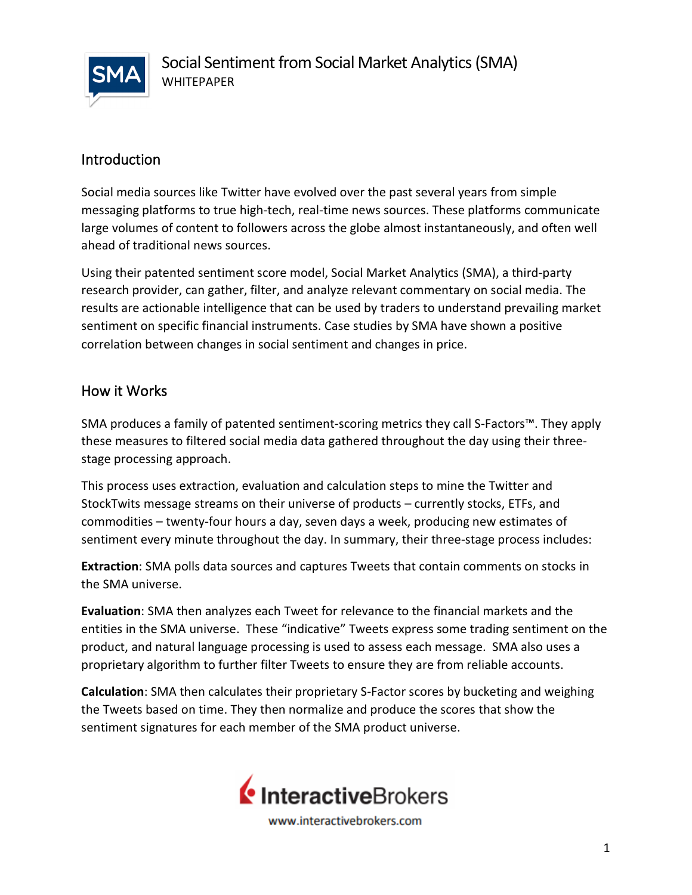

## Introduction

Social media sources like Twitter have evolved over the past several years from simple messaging platforms to true high-tech, real-time news sources. These platforms communicate large volumes of content to followers across the globe almost instantaneously, and often well ahead of traditional news sources.

Using their patented sentiment score model, Social Market Analytics (SMA), a third-party research provider, can gather, filter, and analyze relevant commentary on social media. The results are actionable intelligence that can be used by traders to understand prevailing market sentiment on specific financial instruments. Case studies by SMA have shown a positive correlation between changes in social sentiment and changes in price.

#### How it Works

SMA produces a family of patented sentiment-scoring metrics they call S-Factors™. They apply these measures to filtered social media data gathered throughout the day using their threestage processing approach.

This process uses extraction, evaluation and calculation steps to mine the Twitter and StockTwits message streams on their universe of products – currently stocks, ETFs, and commodities – twenty-four hours a day, seven days a week, producing new estimates of sentiment every minute throughout the day. In summary, their three-stage process includes:

**Extraction**: SMA polls data sources and captures Tweets that contain comments on stocks in the SMA universe.

**Evaluation**: SMA then analyzes each Tweet for relevance to the financial markets and the entities in the SMA universe. These "indicative" Tweets express some trading sentiment on the product, and natural language processing is used to assess each message. SMA also uses a proprietary algorithm to further filter Tweets to ensure they are from reliable accounts.

**Calculation**: SMA then calculates their proprietary S-Factor scores by bucketing and weighing the Tweets based on time. They then normalize and produce the scores that show the sentiment signatures for each member of the SMA product universe.

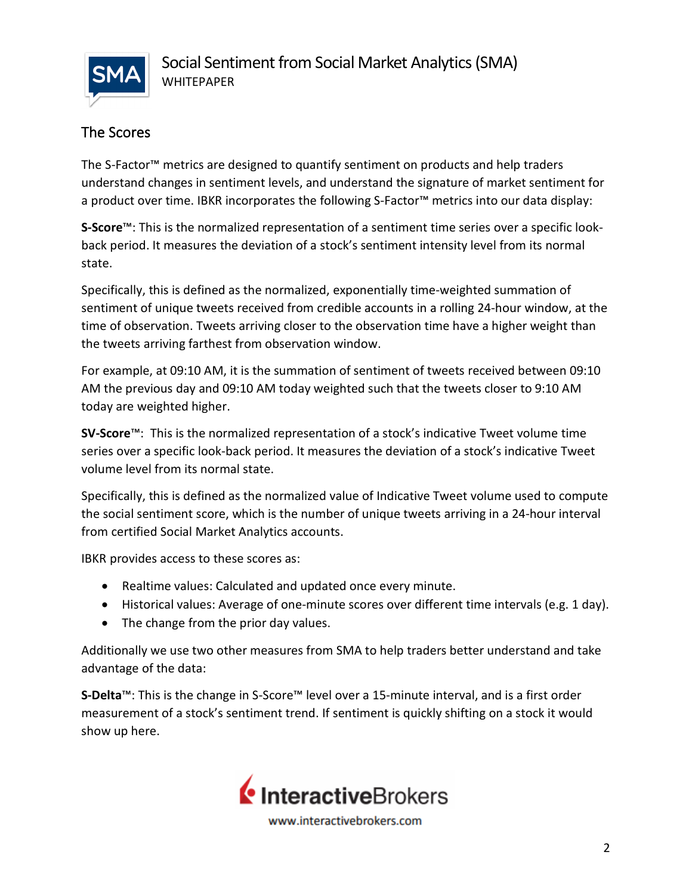

# The Scores

The S-Factor™ metrics are designed to quantify sentiment on products and help traders understand changes in sentiment levels, and understand the signature of market sentiment for a product over time. IBKR incorporates the following S-Factor™ metrics into our data display:

**S-Score**™: This is the normalized representation of a sentiment time series over a specific lookback period. It measures the deviation of a stock's sentiment intensity level from its normal state.

Specifically, this is defined as the normalized, exponentially time-weighted summation of sentiment of unique tweets received from credible accounts in a rolling 24-hour window, at the time of observation. Tweets arriving closer to the observation time have a higher weight than the tweets arriving farthest from observation window.

For example, at 09:10 AM, it is the summation of sentiment of tweets received between 09:10 AM the previous day and 09:10 AM today weighted such that the tweets closer to 9:10 AM today are weighted higher.

**SV-Score**™: This is the normalized representation of a stock's indicative Tweet volume time series over a specific look-back period. It measures the deviation of a stock's indicative Tweet volume level from its normal state.

Specifically, this is defined as the normalized value of Indicative Tweet volume used to compute the social sentiment score, which is the number of unique tweets arriving in a 24-hour interval from certified Social Market Analytics accounts.

IBKR provides access to these scores as:

- Realtime values: Calculated and updated once every minute.
- Historical values: Average of one-minute scores over different time intervals (e.g. 1 day).
- The change from the prior day values.

Additionally we use two other measures from SMA to help traders better understand and take advantage of the data:

**S-Delta**™: This is the change in S-Score™ level over a 15-minute interval, and is a first order measurement of a stock's sentiment trend. If sentiment is quickly shifting on a stock it would show up here.



www.interactivebrokers.com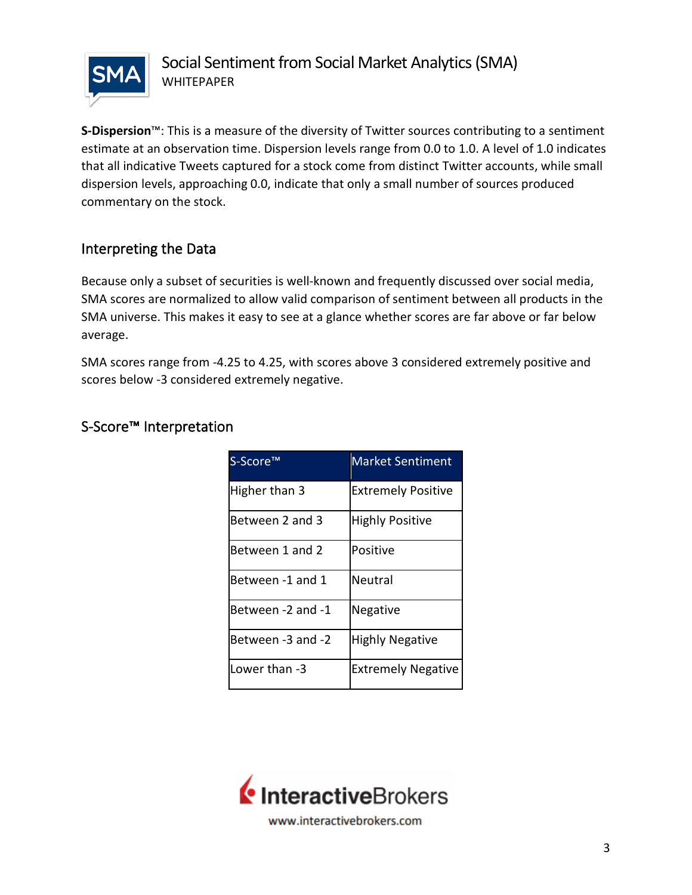

**S-Dispersion**™: This is a measure of the diversity of Twitter sources contributing to a sentiment estimate at an observation time. Dispersion levels range from 0.0 to 1.0. A level of 1.0 indicates that all indicative Tweets captured for a stock come from distinct Twitter accounts, while small dispersion levels, approaching 0.0, indicate that only a small number of sources produced commentary on the stock.

## Interpreting the Data

Because only a subset of securities is well-known and frequently discussed over social media, SMA scores are normalized to allow valid comparison of sentiment between all products in the SMA universe. This makes it easy to see at a glance whether scores are far above or far below average.

SMA scores range from -4.25 to 4.25, with scores above 3 considered extremely positive and scores below -3 considered extremely negative.

| S-Score <sup>™</sup> | <b>Market Sentiment</b>   |
|----------------------|---------------------------|
| Higher than 3        | <b>Extremely Positive</b> |
| Between 2 and 3      | <b>Highly Positive</b>    |
| Between 1 and 2      | Positive                  |
| Between -1 and 1     | Neutral                   |
| Between -2 and -1    | Negative                  |
| Between -3 and -2    | <b>Highly Negative</b>    |
| Lower than -3        | <b>Extremely Negative</b> |

## S-Score™ Interpretation

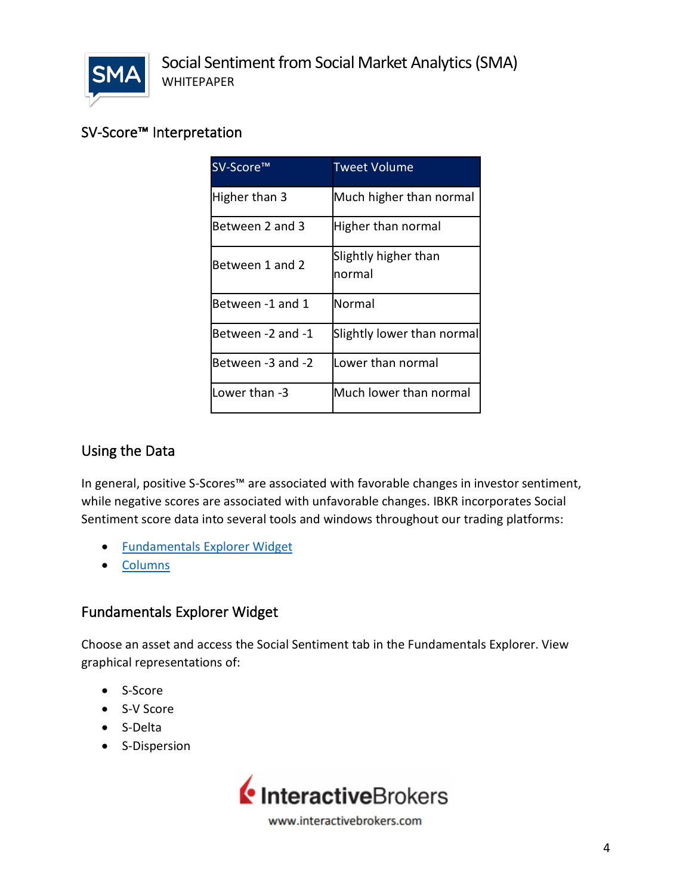

## SV-Score™ Interpretation

| SV-Score™         | <b>Tweet Volume</b>            |
|-------------------|--------------------------------|
| Higher than 3     | Much higher than normal        |
| Between 2 and 3   | Higher than normal             |
| Between 1 and 2   | Slightly higher than<br>normal |
| Between -1 and 1  | Normal                         |
| Between -2 and -1 | Slightly lower than normal     |
| Between -3 and -2 | Lower than normal              |
| Lower than -3     | Much lower than normal         |

#### Using the Data

In general, positive S-Scores™ are associated with favorable changes in investor sentiment, while negative scores are associated with unfavorable changes. IBKR incorporates Social Sentiment score data into several tools and windows throughout our trading platforms:

- [Fundamentals Explorer Widget](#page-3-0)
- <span id="page-3-0"></span>• [Columns](#page-4-0)

#### Fundamentals Explorer Widget

Choose an asset and access the Social Sentiment tab in the Fundamentals Explorer. View graphical representations of:

- S-Score
- S-V Score
- S-Delta
- S-Dispersion



www.interactivebrokers.com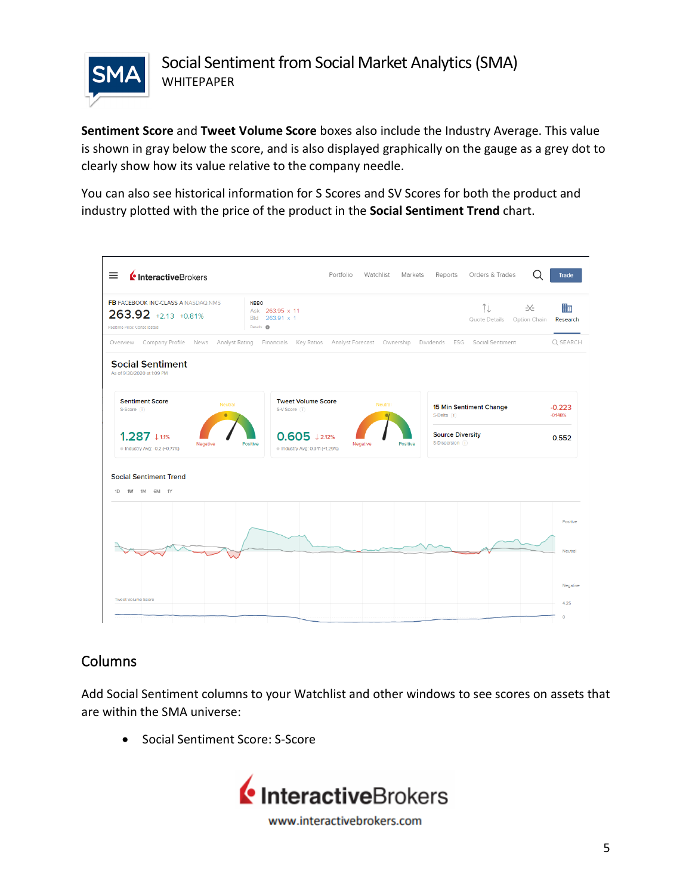

**Sentiment Score** and **Tweet Volume Score** boxes also include the Industry Average. This value is shown in gray below the score, and is also displayed graphically on the gauge as a grey dot to clearly show how its value relative to the company needle.

You can also see historical information for S Scores and SV Scores for both the product and industry plotted with the price of the product in the **Social Sentiment Trend** chart.



## <span id="page-4-0"></span>Columns

Add Social Sentiment columns to your Watchlist and other windows to see scores on assets that are within the SMA universe:

• Social Sentiment Score: S-Score

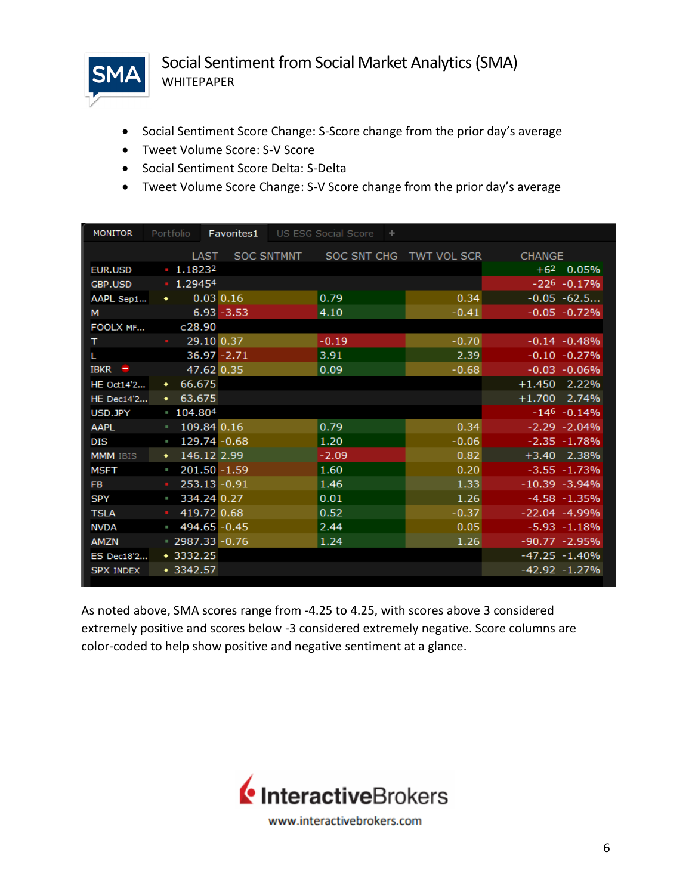

- Social Sentiment Score Change: S-Score change from the prior day's average
- Tweet Volume Score: S-V Score
- Social Sentiment Score Delta: S-Delta
- Tweet Volume Score Change: S-V Score change from the prior day's average

| <b>MONITOR</b>    | Portfolio                 | Favorites1         | US ESG Social Score | $+$                     |                  |
|-------------------|---------------------------|--------------------|---------------------|-------------------------|------------------|
|                   |                           | LAST               | SOC SNTMNT          | SOC SNT CHG TWT VOL SCR | <b>CHANGE</b>    |
| EUR.USD           | $+62$ 0.05%<br>$-1.18232$ |                    |                     |                         |                  |
| <b>GBP.USD</b>    | $-1.29454$                |                    |                     |                         | $-226 - 0.17%$   |
| AAPL Sep1         | $\bullet$                 | $0.03$ $0.16$      | 0.79                | 0.34                    | $-0.05 -62.5$    |
| M                 |                           | $6.93 - 3.53$      | 4.10                | $-0.41$                 | $-0.05 - 0.72%$  |
| FOOLX MF          | c28.90                    |                    |                     |                         |                  |
| T.                | <b>Barbara</b>            | 29.10 0.37         | $-0.19$             | $-0.70$                 | $-0.14 - 0.48%$  |
| L.                |                           | $36.97 - 2.71$     | 3.91                | 2.39                    | $-0.10 - 0.27%$  |
| <b>IBKR</b><br>-  |                           | 47.62 0.35         | 0.09                | $-0.68$                 | $-0.03 - 0.06\%$ |
| <b>HE Oct14'2</b> | 66.675<br>$\bullet$       |                    |                     |                         | $+1.450$ 2.22%   |
| <b>HE</b> Dec14'2 | 63.675<br>٠               |                    |                     |                         | $+1.700$ 2.74%   |
| USD.JPY           | 104.804                   |                    |                     |                         | $-146 - 0.14%$   |
| <b>AAPL</b>       |                           | 109.84 0.16        | 0.79                | 0.34                    | $-2.29 - 2.04%$  |
| <b>DIS</b>        | o.                        | 129.74 - 0.68      | 1.20                | $-0.06$                 | $-2.35 - 1.78%$  |
| <b>MMM</b> IBIS   | ٠                         | 146.12 2.99        | $-2.09$             | 0.82                    | +3.40 2.38%      |
| <b>MSFT</b>       | a.                        | $201.50 - 1.59$    | 1.60                | 0.20                    | $-3.55 - 1.73%$  |
| FB.               |                           | $253.13 - 0.91$    | 1.46                | 1.33                    | $-10.39 - 3.94%$ |
| <b>SPY</b>        | a.                        | 334.24 0.27        | 0.01                | 1.26                    | $-4.58 - 1.35%$  |
| <b>TSLA</b>       | $\mathbf{H}$ .            | 419.72 0.68        | 0.52                | $-0.37$                 | $-22.04 - 4.99%$ |
| <b>NVDA</b>       | o,                        | 494.65 - 0.45      | 2.44                | 0.05                    | $-5.93 - 1.18%$  |
| <b>AMZN</b>       |                           | $= 2987.33 - 0.76$ | 1.24                | 1.26                    | $-90.77 - 2.95%$ |
| <b>ES Dec18'2</b> | $*3332.25$                |                    |                     |                         | $-47.25 - 1.40%$ |
| <b>SPX INDEX</b>  | $* 3342.57$               |                    |                     |                         | $-42.92 - 1.27%$ |

As noted above, SMA scores range from -4.25 to 4.25, with scores above 3 considered extremely positive and scores below -3 considered extremely negative. Score columns are color-coded to help show positive and negative sentiment at a glance.